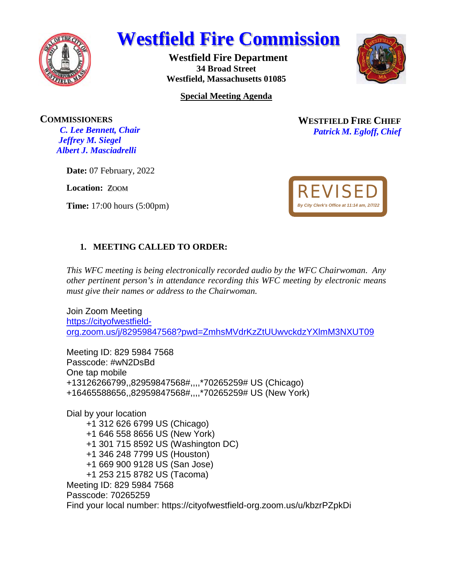

# **Westfield Fire Commission**

**Westfield Fire Department 34 Broad Street Westfield, Massachusetts 01085** 



**Special Meeting Agenda** 

**COMMISSIONERS**

*C. Lee Bennett, Chair Jeffrey M. Siegel Albert J. Masciadrelli* 

**Date:** 07 February, 2022

**Location:** ZOOM

**Time:** 17:00 hours (5:00pm)

**WESTFIELD FIRE CHIEF** *Patrick M. Egloff, Chief* 



### **1. MEETING CALLED TO ORDER:**

*This WFC meeting is being electronically recorded audio by the WFC Chairwoman*. *Any other pertinent person's in attendance recording this WFC meeting by electronic means must give their names or address to the Chairwoman*.

Join Zoom Meeting [https://cityofwestfield](https://cityofwestfield-org.zoom.us/j/82959847568?pwd=ZmhsMVdrKzZtUUwvckdzYXlmM3NXUT09)[org.zoom.us/j/82959847568?pwd=ZmhsMVdrKzZtUUwvckdzYXlmM3NXUT09](https://cityofwestfield-org.zoom.us/j/82959847568?pwd=ZmhsMVdrKzZtUUwvckdzYXlmM3NXUT09)

Meeting ID: 829 5984 7568 Passcode: #wN2DsBd One tap mobile +13126266799,,82959847568#,,,,\*70265259# US (Chicago) +16465588656,,82959847568#,,,,\*70265259# US (New York)

Dial by your location

- +1 312 626 6799 US (Chicago)
- +1 646 558 8656 US (New York)
- +1 301 715 8592 US (Washington DC)
- +1 346 248 7799 US (Houston)
- +1 669 900 9128 US (San Jose)
- +1 253 215 8782 US (Tacoma)

Meeting ID: 829 5984 7568

Passcode: 70265259

Find your local number: https://cityofwestfield-org.zoom.us/u/kbzrPZpkDi